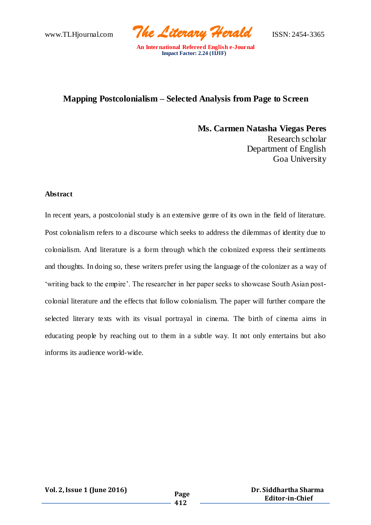www.TLHjournal.com *The Literary Herald*ISSN: 2454-3365

## **Mapping Postcolonialism – Selected Analysis from Page to Screen**

 **Ms. Carmen Natasha Viegas Peres** Research scholar Department of English Goa University

#### **Abstract**

In recent years, a postcolonial study is an extensive genre of its own in the field of literature. Post colonialism refers to a discourse which seeks to address the dilemmas of identity due to colonialism. And literature is a form through which the colonized express their sentiments and thoughts. In doing so, these writers prefer using the language of the colonizer as a way of 'writing back to the empire'. The researcher in her paper seeks to showcase South Asian postcolonial literature and the effects that follow colonialism. The paper will further compare the selected literary texts with its visual portrayal in cinema. The birth of cinema aims in educating people by reaching out to them in a subtle way. It not only entertains but also informs its audience world-wide.

**Vol. 2,Issue 1 (June 2016) Page**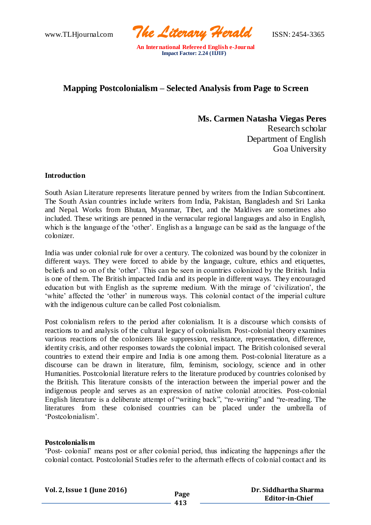www.TLHjournal.com *The Literary Herald*ISSN: 2454-3365

# **Mapping Postcolonialism – Selected Analysis from Page to Screen**

 **Ms. Carmen Natasha Viegas Peres** Research scholar Department of English Goa University

## **Introduction**

South Asian Literature represents literature penned by writers from the Indian Subcontinent. The South Asian countries include writers from India, Pakistan, Bangladesh and Sri Lanka and Nepal. Works from Bhutan, Myanmar, Tibet, and the Maldives are sometimes also included. These writings are penned in the vernacular regional languages and also in English, which is the language of the 'other'. English as a language can be said as the language of the colonizer.

India was under colonial rule for over a century. The colonized was bound by the colonizer in different ways. They were forced to abide by the language, culture, ethics and etiquettes, beliefs and so on of the 'other'. This can be seen in countries colonized by the British. India is one of them. The British impacted India and its people in different ways. They encouraged education but with English as the supreme medium. With the mirage of 'civilization', the 'white' affected the 'other' in numerous ways. This colonial contact of the imperial culture with the indigenous culture can be called Post colonialism.

Post colonialism refers to the period after colonialism. It is a discourse which consists of reactions to and analysis of the cultural legacy of colonialism. Post-colonial theory examines various reactions of the colonizers like suppression, resistance, representation, difference, identity crisis, and other responses towards the colonial impact. The British colonised several countries to extend their empire and India is one among them. Post-colonial literature as a discourse can be drawn in literature, film, feminism, sociology, science and in other Humanities. Postcolonial literature refers to the literature produced by countries colonised by the British. This literature consists of the interaction between the imperial power and the indigenous people and serves as an expression of native colonial atrocities. Post-colonial English literature is a deliberate attempt of "writing back", "re-writing" and "re-reading. The literatures from these colonised countries can be placed under the umbrella of 'Postcolonialism'.

#### **Postcolonialism**

'Post- colonial' means post or after colonial period, thus indicating the happenings after the colonial contact. Postcolonial Studies refer to the aftermath effects of colonial contact and its

| Vol. 2, Issue 1 (June 2016) | Page |
|-----------------------------|------|
|                             |      |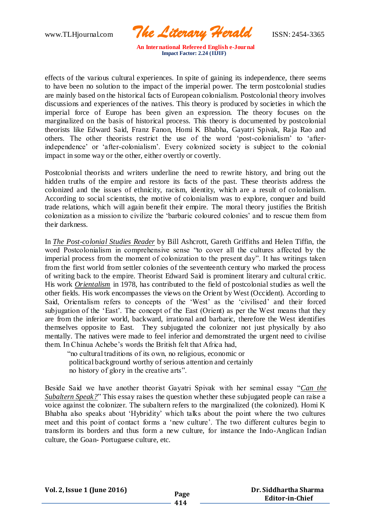www.TLHjournal.com *The Literary Herald*ISSN: 2454-3365

effects of the various cultural experiences. In spite of gaining its independence, there seems to have been no solution to the impact of the imperial power. The term postcolonial studies are mainly based on the historical facts of European colonialism. Postcolonial theory involves discussions and experiences of the natives. This theory is produced by societies in which the imperial force of Europe has been given an expression. The theory focuses on the marginalized on the basis of historical process. This theory is documented by postcolonial theorists like Edward Said, Franz Fanon, Homi K Bhabha, Gayatri Spivak, Ra ja Rao and others. The other theorists restrict the use of the word 'post-colonialism' to 'afterindependence' or 'after-colonialism'. Every colonized society is subject to the colonial impact in some way or the other, either overtly or covertly.

Postcolonial theorists and writers underline the need to rewrite history, and bring out the hidden truths of the empire and restore its facts of the past. These theorists address the colonized and the issues of ethnicity, racism, identity, which are a result of co lonialism. According to social scientists, the motive of colonialism was to explore, conquer and build trade relations, which will again benefit their empire. The moral theory justifies the British colonization as a mission to civilize the 'barbaric coloured colonies' and to rescue them from their darkness.

In *The Post-colonial Studies Reader* by Bill Ashcrott, Gareth Griffiths and Helen Tiffin, the word Postcolonialism in comprehensive sense "to cover all the cultures affected by the imperial process from the moment of colonization to the present day". It has writings taken from the first world from settler colonies of the seventeenth century who marked the process of writing back to the empire. Theorist Edward Said is prominent literary and cultural critic. His work *Orientalism* in 1978, has contributed to the field of postcolonial studies as well the other fields. His work encompasses the views on the Orient by West (Occident). According to Said, Orientalism refers to concepts of the 'West' as the 'civilised' and their forced subjugation of the 'East'. The concept of the East (Orient) as per the West means that they are from the inferior world, backward, irrational and barbaric, therefore the West identifies themselves opposite to East. They subjugated the colonizer not just physically by also mentally. The natives were made to feel inferior and demonstrated the urgent need to civilise them. In Chinua Achebe's words the British felt that Africa had,

 "no cultural traditions of its own, no religious, economic or political background worthy of serious attention and certainly no history of glory in the creative arts".

Beside Said we have another theorist Gayatri Spivak with her seminal essay "*Can the Subaltern Speak?*" This essay raises the question whether these subjugated people can raise a voice against the colonizer. The subaltern refers to the marginalized (the colonized). Homi K Bhabha also speaks about 'Hybridity' which talks about the point where the two cultures meet and this point of contact forms a 'new culture'. The two different cultures begin to transform its borders and thus form a new culture, for instance the Indo-Anglican Indian culture, the Goan- Portuguese culture, etc.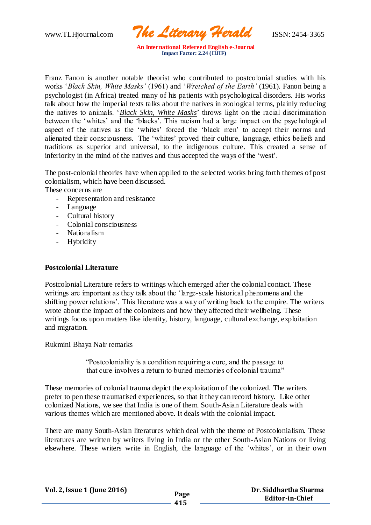www.TLHjournal.com *The Literary Herald*ISSN: 2454-3365

Franz Fanon is another notable theorist who contributed to postcolonial studies with his works '*Black Skin, White Masks'* (1961) and '*Wretched of the Earth'* (1961). Fanon being a psychologist (in Africa) treated many of his patients with psychological disorders. His works talk about how the imperial texts talks about the natives in zoological terms, plainly reducing the natives to animals. '*Black Skin, White Masks*' throws light on the racial discrimination between the 'whites' and the 'blacks'. This racism had a large impact on the psyc hological aspect of the natives as the 'whites' forced the 'black men' to accept their norms and alienated their consciousness. The 'whites' proved their culture, language, ethics beliefs and traditions as superior and universal, to the indigenous culture. This created a sense of inferiority in the mind of the natives and thus accepted the ways of the 'west'.

The post-colonial theories have when applied to the selected works bring forth themes of post colonialism, which have been discussed.

These concerns are

- Representation and resistance
- Language
- Cultural history
- Colonial consciousness
- Nationalism
- Hybridity

## **Postcolonial Literature**

Postcolonial Literature refers to writings which emerged after the colonial contact. These writings are important as they talk about the 'large-scale historical phenomena and the shifting power relations'. This literature was a way of writing back to the empire. The writers wrote about the impact of the colonizers and how they affected their wellbeing. These writings focus upon matters like identity, history, language, cultural exchange, exploitation and migration.

Rukmini Bhaya Nair remarks

 "Postcoloniality is a condition requiring a cure, and the passage to that cure involves a return to buried memories of colonial trauma"

These memories of colonial trauma depict the exploitation of the colonized. The writers prefer to pen these traumatised experiences, so that it they can record history. Like other colonized Nations, we see that India is one of them. South-Asian Literature deals with various themes which are mentioned above. It deals with the colonial impact.

There are many South-Asian literatures which deal with the theme of Postcolonialism. These literatures are written by writers living in India or the other South-Asian Nations or living elsewhere. These writers write in English, the language of the 'whites', or in their own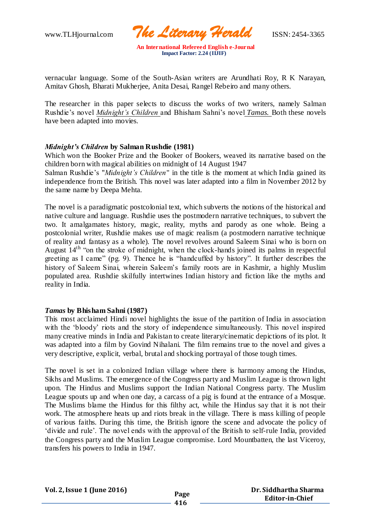www.TLHjournal.com *The Literary Herald*ISSN: 2454-3365

vernacular language. Some of the South-Asian writers are Arundhati Roy, R K Narayan, Amitav Ghosh, Bharati Mukherjee, Anita Desai, Rangel Rebeiro and many others.

The researcher in this paper selects to discuss the works of two writers, namely Salman Rushdie's novel *Midnight's Children* and Bhisham Sahni's novel *Tamas.* Both these novels have been adapted into movies.

## *Midnight's Children* **by Salman Rushdie (1981)**

Which won the Booker Prize and the Booker of Bookers, weaved its narrative based on the children born with magical abilities on midnight of 14 August 1947 Salman Rushdie's "*Midnight's Children*" in the title is the moment at which India gained its independence from the British. This novel was later adapted into a film in November 2012 by the same name by Deepa Mehta.

The novel is a paradigmatic postcolonial text, which subverts the notions of the historical and native culture and language. Rushdie uses the postmodern narrative techniques, to subvert the two. It amalgamates history, magic, reality, myths and parody as one whole. Being a postcolonial writer, Rushdie makes use of magic realism (a postmodern narrative technique of reality and fantasy as a whole). The novel revolves around Saleem Sinai who is born on August 14th "on the stroke of midnight, when the clock-hands joined its palms in respectful greeting as I came" (pg. 9). Thence he is "handcuffed by history". It further describes the history of Saleem Sinai, wherein Saleem's family roots are in Kashmir, a highly Muslim populated area. Rushdie skilfully intertwines Indian history and fiction like the myths and reality in India.

#### *Tamas* **by Bhisham Sahni (1987)**

This most acclaimed Hindi novel highlights the issue of the partition of India in association with the 'bloody' riots and the story of independence simultaneously. This novel inspired many creative minds in India and Pakistan to create literary/cinematic depictions of its plot. It was adapted into a film by Govind Nihalani. The film remains true to the novel and gives a very descriptive, explicit, verbal, brutal and shocking portrayal of those tough times.

The novel is set in a colonized Indian village where there is harmony among the Hindus, Sikhs and Muslims. The emergence of the Congress party and Muslim League is thrown light upon. The Hindus and Muslims support the Indian National Congress party. The Muslim League spouts up and when one day, a carcass of a pig is found at the entrance of a Mosque. The Muslims blame the Hindus for this filthy act, while the Hindus say that it is not their work. The atmosphere heats up and riots break in the village. There is mass killing of people of various faiths. During this time, the British ignore the scene and advocate the policy of 'divide and rule'. The novel ends with the approval of the British to self-rule India, provided the Congress party and the Muslim League compromise. Lord Mountbatten, the last Viceroy, transfers his powers to India in 1947.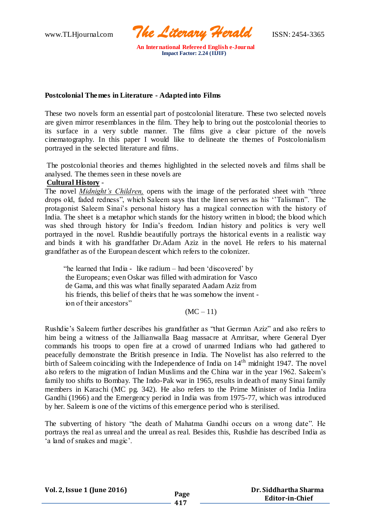www.TLHjournal.com *The Literary Herald*ISSN: 2454-3365

## **Postcolonial Themes in Literature - Adapted into Films**

These two novels form an essential part of postcolonial literature. These two selected novels are given mirror resemblances in the film. They help to bring out the postcolonial theories to its surface in a very subtle manner. The films give a clear picture of the novels cinematography. In this paper I would like to delineate the themes of Postcolonialism portrayed in the selected literature and films.

The postcolonial theories and themes highlighted in the selected novels and films shall be analysed. The themes seen in these novels are

## **Cultural History** -

The novel *Midnight's Children,* opens with the image of the perforated sheet with "three drops old, faded redness", which Saleem says that the linen serves as his ''Talisman". The protagonist Saleem Sinai's personal history has a magical connection with the history of India. The sheet is a metaphor which stands for the history written in blood; the blood which was shed through history for India's freedom. Indian history and politics is very well portrayed in the novel. Rushdie beautifully portrays the historical events in a realistic way and binds it with his grandfather Dr.Adam Aziz in the novel. He refers to his maternal grandfather as of the European descent which refers to the colonizer.

 "he learned that India - like radium – had been 'discovered' by the Europeans; even Oskar was filled with admiration for Vasco de Gama, and this was what finally separated Aadam Aziz from his friends, this belief of theirs that he was somehow the invent ion of their ancestors"

 $(MC - 11)$ 

Rushdie's Saleem further describes his grandfather as "that German Aziz" and also refers to him being a witness of the Jallianwalla Baag massacre at Amritsar, where General Dyer commands his troops to open fire at a crowd of unarmed Indians who had gathered to peacefully demonstrate the British presence in India. The Novelist has also referred to the birth of Saleem coinciding with the Independence of India on  $14<sup>th</sup>$  midnight 1947. The novel also refers to the migration of Indian Muslims and the China war in the year 1962. Saleem's family too shifts to Bombay. The Indo-Pak war in 1965, results in death of many Sinai family members in Karachi (MC pg. 342). He also refers to the Prime Minister of India Indira Gandhi (1966) and the Emergency period in India was from 1975-77, which was introduced by her. Saleem is one of the victims of this emergence period who is sterilised.

The subverting of history "the death of Mahatma Gandhi occurs on a wrong date". He portrays the real as unreal and the unreal as real. Besides this, Rushdie has described India as 'a land of snakes and magic'.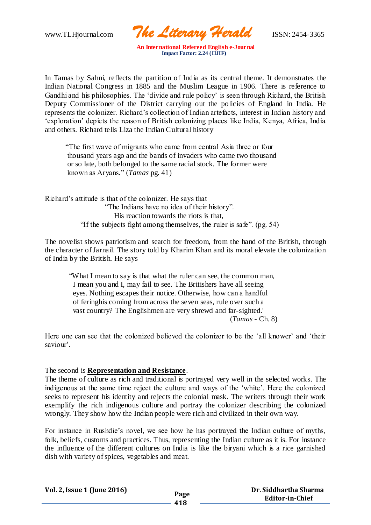www.TLHjournal.com *The Literary Herald*ISSN: 2454-3365

In Tamas by Sahni, reflects the partition of India as its central theme. It demonstrates the Indian National Congress in 1885 and the Muslim League in 1906. There is reference to Gandhi and his philosophies. The 'divide and rule policy' is seen through Richard, the British Deputy Commissioner of the District carrying out the policies of England in India. He represents the colonizer. Richard's collection of Indian artefacts, interest in Indian history and 'exploration' depicts the reason of British colonizing places like India, Kenya, Africa, India and others. Richard tells Liza the Indian Cultural history

 "The first wave of migrants who came from central Asia three or four thousand years ago and the bands of invaders who came two thousand or so late, both belonged to the same racial stock. The former were known as Aryans." (*Tamas* pg. 41)

Richard's attitude is that of the colonizer. He says that "The Indians have no idea of their history". His reaction towards the riots is that, "If the subjects fight among themselves, the ruler is safe". (pg. 54)

The novelist shows patriotism and search for freedom, from the hand of the British, through the character of Jarnail. The story told by Kharim Khan and its moral elevate the colonization of India by the British. He says

 "What I mean to say is that what the ruler can see, the common man, I mean you and I, may fail to see. The Britishers have all seeing eyes. Nothing escapes their notice. Otherwise, how can a handful of feringhis coming from across the seven seas, rule over such a vast country? The Englishmen are very shrewd and far-sighted.' (*Tamas* - Ch. 8)

Here one can see that the colonized believed the colonizer to be the 'all knower' and 'their saviour'.

The second is **Representation and Resistance**.

The theme of culture as rich and traditional is portrayed very well in the selected works. The indigenous at the same time reject the culture and ways of the 'white'. Here the colonized seeks to represent his identity and rejects the colonial mask. The writers through their work exemplify the rich indigenous culture and portray the colonizer describing the colonized wrongly. They show how the Indian people were rich and civilized in their own way.

For instance in Rushdie's novel, we see how he has portrayed the Indian culture of myths, folk, beliefs, customs and practices. Thus, representing the Indian culture as it is. For instance the influence of the different cultures on India is like the biryani which is a rice garnished dish with variety of spices, vegetables and meat.

**Vol. 2,Issue 1 (June 2016) Page**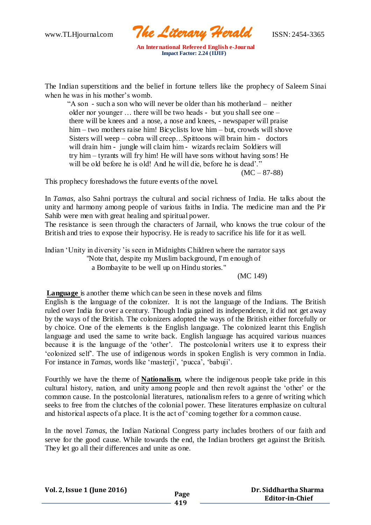www.TLHjournal.com *The Literary Herald*ISSN: 2454-3365

The Indian superstitions and the belief in fortune tellers like the prophecy of Saleem Sinai when he was in his mother's womb.

 "A son - such a son who will never be older than his motherland – neither older nor younger … there will be two heads - but you shall see one – there will be knees and a nose, a nose and knees, - newspaper will praise him – two mothers raise him! Bicyclists love him – but, crowds will shove Sisters will weep – cobra will creep…Spittoons will brain him - doctors will drain him - jungle will claim him - wizards reclaim Soldiers will try him – tyrants will fry him! He will have sons without having sons! He will be old before he is old! And he will die, before he is dead'."

 $(MC - 87 - 88)$ 

This prophecy foreshadows the future events of the novel.

In *Tamas,* also Sahni portrays the cultural and social richness of India. He talks about the unity and harmony among people of various faiths in India. The medicine man and the Pir Sahib were men with great healing and spiritual power.

The resistance is seen through the characters of Jarnail, who knows the true colour of the British and tries to expose their hypocrisy. He is ready to sacrifice his life for it as well.

Indian 'Unity in diversity 'is seen in Midnights Children where the narrator says "Note that, despite my Muslim background, I'm enough of a Bombayite to be well up on Hindu stories."

(MC 149)

**Language** is another theme which can be seen in these novels and films

English is the language of the colonizer. It is not the language of the Indians. The British ruled over India for over a century. Though India gained its independence, it did not get away by the ways of the British. The colonizers adopted the ways of the British either forcefully or by choice. One of the elements is the English language. The colonized learnt this English language and used the same to write back. English language has acquired various nuances because it is the language of the 'other'. The postcolonial writers use it to express their 'colonized self'. The use of indigenous words in spoken English is very common in India. For instance in *Tamas*, words like 'masterji', 'pucca', 'babuji'.

Fourthly we have the theme of **Nationalism**, where the indigenous people take pride in this cultural history, nation, and unity among people and then revolt against the 'other' or the common cause. In the postcolonial literatures, nationalism refers to a genre of writing which seeks to free from the clutches of the colonial power. These literatures emphasize on cultural and historical aspects of a place. It is the act of 'coming together for a common cause.

In the novel *Tamas*, the Indian National Congress party includes brothers of our faith and serve for the good cause. While towards the end, the Indian brothers get against the British. They let go all their differences and unite as one.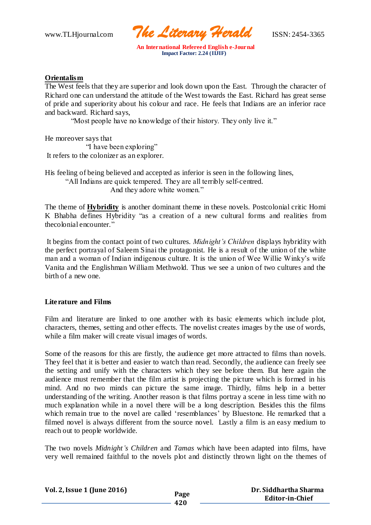www.TLHjournal.com *The Literary Herald*ISSN: 2454-3365

## **Orientalism**

The West feels that they are superior and look down upon the East. Through the character of Richard one can understand the attitude of the West towards the East. Richard has great sense of pride and superiority about his colour and race. He feels that Indians are an inferior race and backward. Richard says,

"Most people have no knowledge of their history. They only live it."

He moreover says that "I have been exploring"

It refers to the colonizer as an explorer.

His feeling of being believed and accepted as inferior is seen in the following lines, "All Indians are quick tempered. They are all terribly self-centred. And they adore white women."

The theme of **Hybridity** is another dominant theme in these novels. Postcolonial critic Homi K Bhabha defines Hybridity "as a creation of a new cultural forms and realities from thecolonial encounter."

It begins from the contact point of two cultures. *Midnight's Children* displays hybridity with the perfect portrayal of Saleem Sinai the protagonist. He is a result of the union of the white man and a woman of Indian indigenous culture. It is the union of Wee Willie Winky's wife Vanita and the Englishman William Methwold. Thus we see a union of two cultures and the birth of a new one.

## **Literature and Films**

Film and literature are linked to one another with its basic elements which include plot, characters, themes, setting and other effects. The novelist creates images by the use of words, while a film maker will create visual images of words.

Some of the reasons for this are firstly, the audience get more attracted to films than novels. They feel that it is better and easier to watch than read. Secondly, the audience can freely see the setting and unify with the characters which they see before them. But here again the audience must remember that the film artist is projecting the picture which is formed in his mind. And no two minds can picture the same image. Thirdly, films help in a better understanding of the writing. Another reason is that films portray a scene in less time with no much explanation while in a novel there will be a long description. Besides this the films which remain true to the novel are called 'resemblances' by Bluestone. He remarked that a filmed novel is always different from the source novel. Lastly a film is an easy medium to reach out to people worldwide.

The two novels *Midnight's Children* and *Tamas* which have been adapted into films, have very well remained faithful to the novels plot and distinctly thrown light on the themes of

**Vol. 2,Issue 1 (June 2016) Page 420 Dr. Siddhartha Sharma Editor-in-Chief**